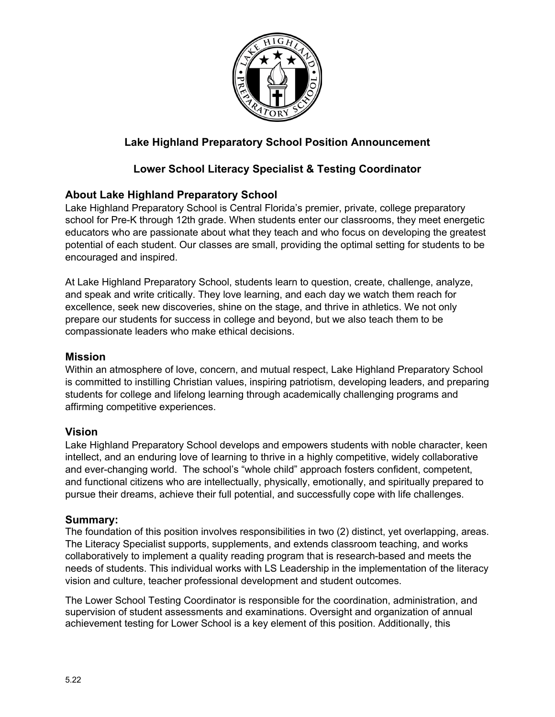

# **Lake Highland Preparatory School Position Announcement**

# **Lower School Literacy Specialist & Testing Coordinator**

## **About Lake Highland Preparatory School**

Lake Highland Preparatory School is Central Florida's premier, private, college preparatory school for Pre-K through 12th grade. When students enter our classrooms, they meet energetic educators who are passionate about what they teach and who focus on developing the greatest potential of each student. Our classes are small, providing the optimal setting for students to be encouraged and inspired.

At Lake Highland Preparatory School, students learn to question, create, challenge, analyze, and speak and write critically. They love learning, and each day we watch them reach for excellence, seek new discoveries, shine on the stage, and thrive in athletics. We not only prepare our students for success in college and beyond, but we also teach them to be compassionate leaders who make ethical decisions.

#### **Mission**

Within an atmosphere of love, concern, and mutual respect, Lake Highland Preparatory School is committed to instilling Christian values, inspiring patriotism, developing leaders, and preparing students for college and lifelong learning through academically challenging programs and affirming competitive experiences.

### **Vision**

Lake Highland Preparatory School develops and empowers students with noble character, keen intellect, and an enduring love of learning to thrive in a highly competitive, widely collaborative and ever-changing world. The school's "whole child" approach fosters confident, competent, and functional citizens who are intellectually, physically, emotionally, and spiritually prepared to pursue their dreams, achieve their full potential, and successfully cope with life challenges.

#### **Summary:**

The foundation of this position involves responsibilities in two (2) distinct, yet overlapping, areas. The Literacy Specialist supports, supplements, and extends classroom teaching, and works collaboratively to implement a quality reading program that is research-based and meets the needs of students. This individual works with LS Leadership in the implementation of the literacy vision and culture, teacher professional development and student outcomes.

The Lower School Testing Coordinator is responsible for the coordination, administration, and supervision of student assessments and examinations. Oversight and organization of annual achievement testing for Lower School is a key element of this position. Additionally, this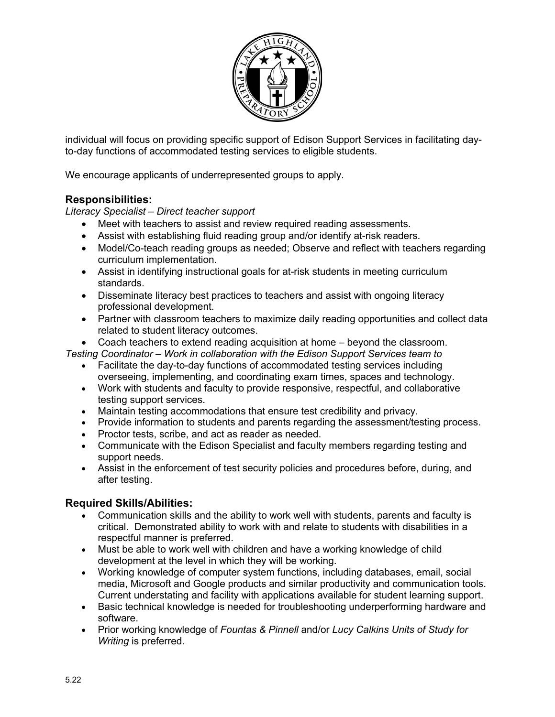

individual will focus on providing specific support of Edison Support Services in facilitating dayto-day functions of accommodated testing services to eligible students.

We encourage applicants of underrepresented groups to apply.

## **Responsibilities:**

*Literacy Specialist – Direct teacher support*

- Meet with teachers to assist and review required reading assessments.
- Assist with establishing fluid reading group and/or identify at-risk readers.
- Model/Co-teach reading groups as needed; Observe and reflect with teachers regarding curriculum implementation.
- Assist in identifying instructional goals for at-risk students in meeting curriculum standards.
- Disseminate literacy best practices to teachers and assist with ongoing literacy professional development.
- Partner with classroom teachers to maximize daily reading opportunities and collect data related to student literacy outcomes.
- Coach teachers to extend reading acquisition at home beyond the classroom.

*Testing Coordinator – Work in collaboration with the Edison Support Services team to*

- Facilitate the day-to-day functions of accommodated testing services including overseeing, implementing, and coordinating exam times, spaces and technology.
- Work with students and faculty to provide responsive, respectful, and collaborative testing support services.
- Maintain testing accommodations that ensure test credibility and privacy.
- Provide information to students and parents regarding the assessment/testing process.
- Proctor tests, scribe, and act as reader as needed.
- Communicate with the Edison Specialist and faculty members regarding testing and support needs.
- Assist in the enforcement of test security policies and procedures before, during, and after testing.

#### **Required Skills/Abilities:**

- Communication skills and the ability to work well with students, parents and faculty is critical. Demonstrated ability to work with and relate to students with disabilities in a respectful manner is preferred.
- Must be able to work well with children and have a working knowledge of child development at the level in which they will be working.
- Working knowledge of computer system functions, including databases, email, social media, Microsoft and Google products and similar productivity and communication tools. Current understating and facility with applications available for student learning support.
- Basic technical knowledge is needed for troubleshooting underperforming hardware and software.
- Prior working knowledge of *Fountas & Pinnell* and/or *Lucy Calkins Units of Study for Writing* is preferred.